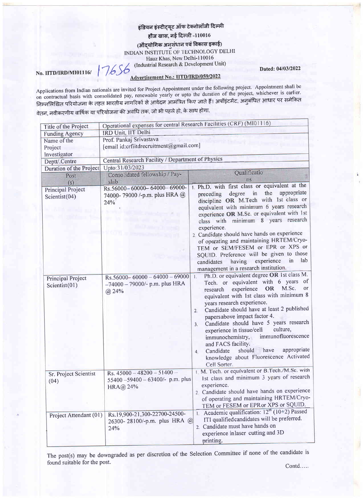## इंडियन इंस्टीट्यूट ऑफ टेक्नोलॉजी दिल्ली हौज खास, नई दिल्ली -110016

(औद्योगिक अनुसंधान एवं विकास इकाई) INDIAN INSTITUTE OF TECHNOLOGY DELHI

Hauz Khas, New Delhi-110016 (Industrial Research & Development Unit) 7656

No. IITD/IRD/MI01116/

## Advertisement No.: IITD/IRD/059/2022

Applications from Indian nationals are invited for Project Appointment under the following project. Appointment shall be on contractual basis with consolidated pay, renewable yearly or upto the duration of the project, whichever is earlier. निम्नलिखित परियोजना के तहत भारतीय नागरिकों से आवेदन आमंत्रित किए जाते हैं। अपॉइंटमेंट, अनुबंधित आधार पर समेकित

वेतन, नवीकरणीय वार्षिक या परियोजना की अवधि तक, जो भी पहले हो, के साथ होगा.

| Title of the Project                             | Operational expenses for central Research Facilities (CRF) (M101116)               |                                                                                                                                                                                                                                                                                                                                                                                                                                                                                                                                                                                                                                                                             |
|--------------------------------------------------|------------------------------------------------------------------------------------|-----------------------------------------------------------------------------------------------------------------------------------------------------------------------------------------------------------------------------------------------------------------------------------------------------------------------------------------------------------------------------------------------------------------------------------------------------------------------------------------------------------------------------------------------------------------------------------------------------------------------------------------------------------------------------|
| <b>Funding Agency</b>                            | IRD Unit, IIT Delhi                                                                |                                                                                                                                                                                                                                                                                                                                                                                                                                                                                                                                                                                                                                                                             |
| Name of the                                      | Prof. Pankaj Srivastava<br>[email id:crfiitdrecruitment@gmail.com]                 |                                                                                                                                                                                                                                                                                                                                                                                                                                                                                                                                                                                                                                                                             |
| Project                                          |                                                                                    |                                                                                                                                                                                                                                                                                                                                                                                                                                                                                                                                                                                                                                                                             |
| Investigator                                     |                                                                                    |                                                                                                                                                                                                                                                                                                                                                                                                                                                                                                                                                                                                                                                                             |
| Deptt/.Centre                                    | Central Research Facility / Department of Physics                                  |                                                                                                                                                                                                                                                                                                                                                                                                                                                                                                                                                                                                                                                                             |
| Duration of the Project                          | Upto:31/03/2023                                                                    | Qualificatio                                                                                                                                                                                                                                                                                                                                                                                                                                                                                                                                                                                                                                                                |
| Post                                             | Consolidated fellowship / Pay-<br>slab                                             | ns                                                                                                                                                                                                                                                                                                                                                                                                                                                                                                                                                                                                                                                                          |
| (s)<br><b>Principal Project</b><br>Scientist(04) | Rs.56000-60000-64000-69000-<br>74000-79000 /-p.m. plus HRA @<br>24%                | 1. Ph.D. with first class or equivalent at the<br>appropriate<br>the<br>degree<br>in<br>preceding<br>discipline OR M.Tech with 1st class or                                                                                                                                                                                                                                                                                                                                                                                                                                                                                                                                 |
|                                                  |                                                                                    | equivalent with minimum 6 years research<br>experience OR M.Sc. or equivalent with 1st<br>class with minimum 8 years research<br>experience.<br>2. Candidate should have hands on experience<br>of operating and maintaining HRTEM/Cryo-<br>TEM or SEM/FESEM or EPR or XPS or<br>SQUID. Preference will be given to those<br>having experience<br>in<br>lab<br>candidates<br>management in a research institution.                                                                                                                                                                                                                                                          |
| Principal Project<br>Scientist $(01)$            | $Rs.56000 - 60000 - 64000 - 69000$<br>$-74000 - 79000/$ - p.m. plus HRA<br>(a) 24% | Ph.D. or equivalent degree OR 1st class M.<br>$\overline{1}$ .<br>Tech. or equivalent with 6 years of<br>M.Sc.<br>or<br>experience<br><b>OR</b><br>research<br>equivalent with 1st class with minimum 8<br>years research experience.<br>Candidate should have at least 2 published<br>2.<br>papersabove impact factor 4.<br>Candidate should have 5 years research<br>3 <sub>1</sub><br>culture,<br>experience in tissue/cell<br>immunofluorescence<br>immunochemistry,<br>and FACS facility.<br>appropriate<br>have<br>should<br>Candidate<br>4 <sup>1</sup><br>knowledge about Fluorescence Activated<br>Cell Sorter.<br>I. M. Tech. or equivalent or B.Tech./M.Sc. with |
| Sr. Project Scientist<br>(04)                    | Rs. $45000 - 48200 - 51400 -$<br>55400-59400-63400/- p.m. plus<br>HRA@ 24%         | 1st class and minimum 3 years of research<br>experience.<br>2. Candidate should have hands on experience<br>of operating and maintaining HRTEM/Cryo-<br>TEM or FESEM or EPRor XPS or SQUID.<br>1. Academic qualification: $12^{th}$ (10+2) Passed<br>ITI qualified candidates will be preferred.<br>2. Candidate must have hands on<br>experience inlaser cutting and 3D<br>printing.                                                                                                                                                                                                                                                                                       |
| Project Attendant (01)                           | Rs.19,900-21,300-22700-24500-<br>26300-28100/-p.m. plus HRA @<br>24%               |                                                                                                                                                                                                                                                                                                                                                                                                                                                                                                                                                                                                                                                                             |

The post(s) may be downgraded as per discretion of the Selection Committee if none of the candidate is found suitable for the post.

Dated: 04/03/2022